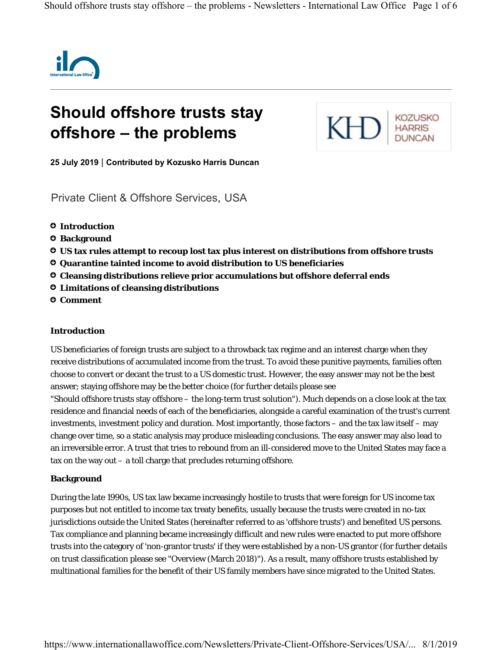

# **Should offshore trusts stay offshore – the problems**



**25 July 2019 Contributed by Kozusko Harris Duncan** |

Private Client & Offshore Services, USA

- **Introduction** ○
- **Background** ○
- **US tax rules attempt to recoup lost tax plus interest on distributions from offshore trusts** ○
- **Quarantine tainted income to avoid distribution to US beneficiaries** ○
- **Cleansing distributions relieve prior accumulations but offshore deferral ends** ○
- **Limitations of cleansing distributions** ○
- **Comment** ○

## **Introduction**

US beneficiaries of foreign trusts are subject to a throwback tax regime and an interest charge when they receive distributions of accumulated income from the trust. To avoid these punitive payments, families often choose to convert or decant the trust to a US domestic trust. However, the easy answer may not be the best answer; staying offshore may be the better choice (for further details please see

"Should offshore trusts stay offshore – the long-term trust solution"). Much depends on a close look at the tax residence and financial needs of each of the beneficiaries, alongside a careful examination of the trust's current investments, investment policy and duration. Most importantly, those factors – and the tax law itself – may change over time, so a static analysis may produce misleading conclusions. The easy answer may also lead to an irreversible error. A trust that tries to rebound from an ill-considered move to the United States may face a tax on the way out – a toll charge that precludes returning offshore.

## **Background**

During the late 1990s, US tax law became increasingly hostile to trusts that were foreign for US income tax purposes but not entitled to income tax treaty benefits, usually because the trusts were created in no-tax jurisdictions outside the United States (hereinafter referred to as 'offshore trusts') and benefited US persons. Tax compliance and planning became increasingly difficult and new rules were enacted to put more offshore trusts into the category of 'non-grantor trusts' if they were established by a non-US grantor (for further details on trust classification please see "Overview (March 2018)"). As a result, many offshore trusts established by multinational families for the benefit of their US family members have since migrated to the United States.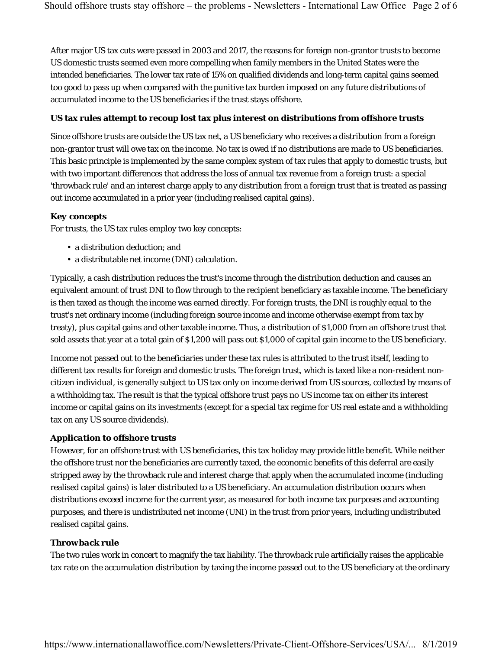After major US tax cuts were passed in 2003 and 2017, the reasons for foreign non-grantor trusts to become US domestic trusts seemed even more compelling when family members in the United States were the intended beneficiaries. The lower tax rate of 15% on qualified dividends and long-term capital gains seemed too good to pass up when compared with the punitive tax burden imposed on any future distributions of accumulated income to the US beneficiaries if the trust stays offshore.

## **US tax rules attempt to recoup lost tax plus interest on distributions from offshore trusts**

Since offshore trusts are outside the US tax net, a US beneficiary who receives a distribution from a foreign non-grantor trust will owe tax on the income. No tax is owed if no distributions are made to US beneficiaries. This basic principle is implemented by the same complex system of tax rules that apply to domestic trusts, but with two important differences that address the loss of annual tax revenue from a foreign trust: a special 'throwback rule' and an interest charge apply to any distribution from a foreign trust that is treated as passing out income accumulated in a prior year (including realised capital gains).

# *Key concepts*

For trusts, the US tax rules employ two key concepts:

- a distribution deduction; and
- a distributable net income (DNI) calculation.

Typically, a cash distribution reduces the trust's income through the distribution deduction and causes an equivalent amount of trust DNI to flow through to the recipient beneficiary as taxable income. The beneficiary is then taxed as though the income was earned directly. For foreign trusts, the DNI is roughly equal to the trust's net ordinary income (including foreign source income and income otherwise exempt from tax by treaty), plus capital gains and other taxable income. Thus, a distribution of \$1,000 from an offshore trust that sold assets that year at a total gain of \$1,200 will pass out \$1,000 of capital gain income to the US beneficiary.

Income not passed out to the beneficiaries under these tax rules is attributed to the trust itself, leading to different tax results for foreign and domestic trusts. The foreign trust, which is taxed like a non-resident noncitizen individual, is generally subject to US tax only on income derived from US sources, collected by means of a withholding tax. The result is that the typical offshore trust pays no US income tax on either its interest income or capital gains on its investments (except for a special tax regime for US real estate and a withholding tax on any US source dividends).

# *Application to offshore trusts*

However, for an offshore trust with US beneficiaries, this tax holiday may provide little benefit. While neither the offshore trust nor the beneficiaries are currently taxed, the economic benefits of this deferral are easily stripped away by the throwback rule and interest charge that apply when the accumulated income (including realised capital gains) is later distributed to a US beneficiary. An accumulation distribution occurs when distributions exceed income for the current year, as measured for both income tax purposes and accounting purposes, and there is undistributed net income (UNI) in the trust from prior years, including undistributed realised capital gains.

## *Throwback rule*

The two rules work in concert to magnify the tax liability. The throwback rule artificially raises the applicable tax rate on the accumulation distribution by taxing the income passed out to the US beneficiary at the ordinary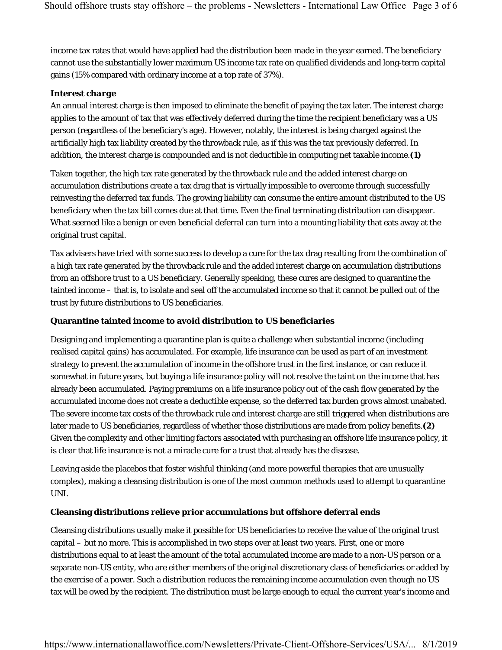income tax rates that would have applied had the distribution been made in the year earned. The beneficiary cannot use the substantially lower maximum US income tax rate on qualified dividends and long-term capital gains (15% compared with ordinary income at a top rate of 37%).

## *Interest charge*

An annual interest charge is then imposed to eliminate the benefit of paying the tax later. The interest charge applies to the amount of tax that was effectively deferred during the time the recipient beneficiary was a US person (regardless of the beneficiary's age). However, notably, the interest is being charged against the artificially high tax liability created by the throwback rule*,* as if this was the tax previously deferred. In addition, the interest charge is compounded and is not deductible in computing net taxable income.**(1)**

Taken together, the high tax rate generated by the throwback rule and the added interest charge on accumulation distributions create a tax drag that is virtually impossible to overcome through successfully reinvesting the deferred tax funds. The growing liability can consume the entire amount distributed to the US beneficiary when the tax bill comes due at that time. Even the final terminating distribution can disappear. What seemed like a benign or even beneficial deferral can turn into a mounting liability that eats away at the original trust capital.

Tax advisers have tried with some success to develop a cure for the tax drag resulting from the combination of a high tax rate generated by the throwback rule and the added interest charge on accumulation distributions from an offshore trust to a US beneficiary. Generally speaking, these cures are designed to quarantine the tainted income – that is, to isolate and seal off the accumulated income so that it cannot be pulled out of the trust by future distributions to US beneficiaries.

## **Quarantine tainted income to avoid distribution to US beneficiaries**

Designing and implementing a quarantine plan is quite a challenge when substantial income (including realised capital gains) has accumulated. For example, life insurance can be used as part of an investment strategy to prevent the accumulation of income in the offshore trust in the first instance, or can reduce it somewhat in future years, but buying a life insurance policy will not resolve the taint on the income that has already been accumulated. Paying premiums on a life insurance policy out of the cash flow generated by the accumulated income does not create a deductible expense, so the deferred tax burden grows almost unabated. The severe income tax costs of the throwback rule and interest charge are still triggered when distributions are later made to US beneficiaries, regardless of whether those distributions are made from policy benefits.**(2)** Given the complexity and other limiting factors associated with purchasing an offshore life insurance policy, it is clear that life insurance is not a miracle cure for a trust that already has the disease.

Leaving aside the placebos that foster wishful thinking (and more powerful therapies that are unusually complex), making a cleansing distribution is one of the most common methods used to attempt to quarantine UNI.

# **Cleansing distributions relieve prior accumulations but offshore deferral ends**

Cleansing distributions usually make it possible for US beneficiaries to receive the value of the original trust capital – but no more. This is accomplished in two steps over at least two years. First, one or more distributions equal to at least the amount of the total accumulated income are made to a non-US person or a separate non-US entity, who are either members of the original discretionary class of beneficiaries or added by the exercise of a power. Such a distribution reduces the remaining income accumulation even though no US tax will be owed by the recipient. The distribution must be large enough to equal the current year's income and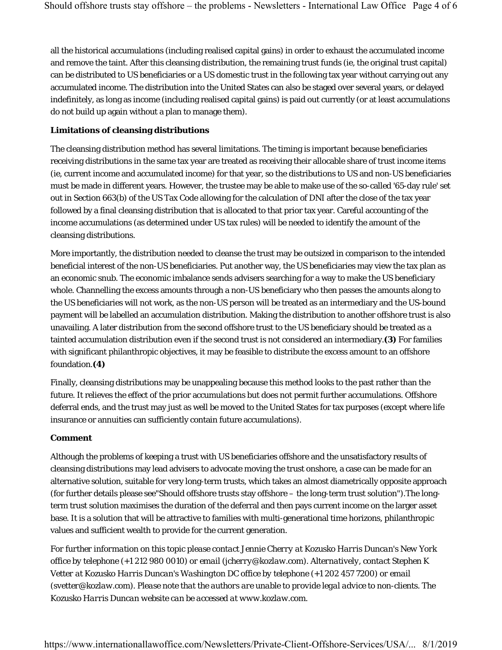all the historical accumulations (including realised capital gains) in order to exhaust the accumulated income and remove the taint. After this cleansing distribution, the remaining trust funds (ie, the original trust capital) can be distributed to US beneficiaries or a US domestic trust in the following tax year without carrying out any accumulated income. The distribution into the United States can also be staged over several years, or delayed indefinitely, as long as income (including realised capital gains) is paid out currently (or at least accumulations do not build up again without a plan to manage them).

# **Limitations of cleansing distributions**

The cleansing distribution method has several limitations. The timing is important because beneficiaries receiving distributions in the same tax year are treated as receiving their allocable share of trust income items (ie, current income and accumulated income) for that year, so the distributions to US and non-US beneficiaries must be made in different years. However, the trustee may be able to make use of the so-called '65-day rule' set out in Section 663(b) of the US Tax Code allowing for the calculation of DNI after the close of the tax year followed by a final cleansing distribution that is allocated to that prior tax year. Careful accounting of the income accumulations (as determined under US tax rules) will be needed to identify the amount of the cleansing distributions.

More importantly, the distribution needed to cleanse the trust may be outsized in comparison to the intended beneficial interest of the non-US beneficiaries. Put another way, the US beneficiaries may view the tax plan as an economic snub. The economic imbalance sends advisers searching for a way to make the US beneficiary whole. Channelling the excess amounts through a non-US beneficiary who then passes the amounts along to the US beneficiaries will not work, as the non-US person will be treated as an intermediary and the US-bound payment will be labelled an accumulation distribution. Making the distribution to another offshore trust is also unavailing. A later distribution from the second offshore trust to the US beneficiary should be treated as a tainted accumulation distribution even if the second trust is not considered an intermediary.**(3)** For families with significant philanthropic objectives, it may be feasible to distribute the excess amount to an offshore foundation.**(4)**

Finally, cleansing distributions may be unappealing because this method looks to the past rather than the future. It relieves the effect of the prior accumulations but does not permit further accumulations. Offshore deferral ends, and the trust may just as well be moved to the United States for tax purposes (except where life insurance or annuities can sufficiently contain future accumulations).

## **Comment**

Although the problems of keeping a trust with US beneficiaries offshore and the unsatisfactory results of cleansing distributions may lead advisers to advocate moving the trust onshore, a case can be made for an alternative solution, suitable for very long-term trusts, which takes an almost diametrically opposite approach (for further details please see "Should offshore trusts stay offshore – the long-term trust solution"). The longterm trust solution maximises the duration of the deferral and then pays current income on the larger asset base. It is a solution that will be attractive to families with multi-generational time horizons, philanthropic values and sufficient wealth to provide for the current generation.

*For further information on this topic please contact Jennie Cherry at Kozusko Harris Duncan's New York office by telephone (+1 212 980 0010) or email (jcherry@kozlaw.com). Alternatively, contact Stephen K Vetter at Kozusko Harris Duncan's Washington DC office by telephone (+1 202 457 7200) or email (svetter@kozlaw.com). Please note that the authors are unable to provide legal advice to non-clients. The Kozusko Harris Duncan website can be accessed at www.kozlaw.com.*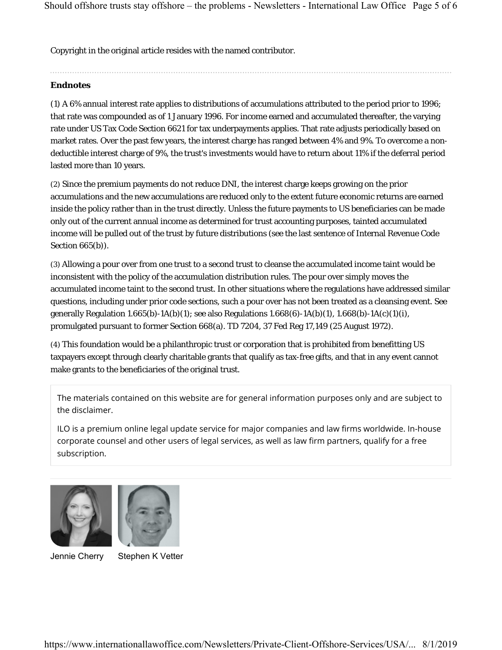Copyright in the original article resides with the named contributor.

# **Endnotes**

(1) A 6% annual interest rate applies to distributions of accumulations attributed to the period prior to 1996; that rate was compounded as of 1 January 1996. For income earned and accumulated thereafter, the varying rate under US Tax Code Section 6621 for tax underpayments applies. That rate adjusts periodically based on market rates. Over the past few years, the interest charge has ranged between 4% and 9%. To overcome a nondeductible interest charge of 9%, the trust's investments would have to return about 11% if the deferral period lasted more than 10 years.

(2) Since the premium payments do not reduce DNI, the interest charge keeps growing on the prior accumulations and the new accumulations are reduced only to the extent future economic returns are earned inside the policy rather than in the trust directly. Unless the future payments to US beneficiaries can be made only out of the current annual income as determined for trust accounting purposes, tainted accumulated income will be pulled out of the trust by future distributions (see the last sentence of Internal Revenue Code Section 665(b)).

(3) Allowing a pour over from one trust to a second trust to cleanse the accumulated income taint would be inconsistent with the policy of the accumulation distribution rules. The pour over simply moves the accumulated income taint to the second trust. In other situations where the regulations have addressed similar questions, including under prior code sections, such a pour over has not been treated as a cleansing event. See generally Regulation 1.665(b)-1A(b)(1); see also Regulations 1.668(6)-1A(b)(1), 1.668(b)-1A(c)(1)(i), promulgated pursuant to former Section 668(a). TD 7204, 37 Fed Reg 17,149 (25 August 1972).

(4) This foundation would be a philanthropic trust or corporation that is prohibited from benefitting US taxpayers except through clearly charitable grants that qualify as tax-free gifts, and that in any event cannot make grants to the beneficiaries of the original trust.

The materials contained on this website are for general information purposes only and are subject to the disclaimer.

ILO is a premium online legal update service for major companies and law firms worldwide. In-house corporate counsel and other users of legal services, as well as law firm partners, qualify for a free subscription.





Jennie Cherry Stephen K Vetter